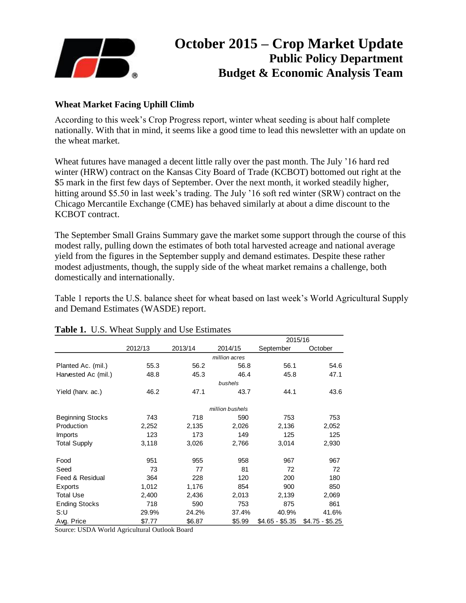

# **October 2015 – Crop Market Update Public Policy Department Budget & Economic Analysis Team**

## **Wheat Market Facing Uphill Climb**

According to this week's Crop Progress report, winter wheat seeding is about half complete nationally. With that in mind, it seems like a good time to lead this newsletter with an update on the wheat market.

Wheat futures have managed a decent little rally over the past month. The July '16 hard red winter (HRW) contract on the Kansas City Board of Trade (KCBOT) bottomed out right at the \$5 mark in the first few days of September. Over the next month, it worked steadily higher, hitting around \$5.50 in last week's trading. The July '16 soft red winter (SRW) contract on the Chicago Mercantile Exchange (CME) has behaved similarly at about a dime discount to the KCBOT contract.

The September Small Grains Summary gave the market some support through the course of this modest rally, pulling down the estimates of both total harvested acreage and national average yield from the figures in the September supply and demand estimates. Despite these rather modest adjustments, though, the supply side of the wheat market remains a challenge, both domestically and internationally.

Table 1 reports the U.S. balance sheet for wheat based on last week's World Agricultural Supply and Demand Estimates (WASDE) report.

|                         |         |         |                 | 2015/16         |                 |
|-------------------------|---------|---------|-----------------|-----------------|-----------------|
|                         | 2012/13 | 2013/14 | 2014/15         | September       | October         |
|                         |         |         | million acres   |                 |                 |
| Planted Ac. (mil.)      | 55.3    | 56.2    | 56.8            | 56.1            | 54.6            |
| Harvested Ac (mil.)     | 48.8    | 45.3    | 46.4            | 45.8            | 47.1            |
|                         |         |         | bushels         |                 |                 |
| Yield (harv. ac.)       | 46.2    | 47.1    | 43.7            | 44.1            | 43.6            |
|                         |         |         | million bushels |                 |                 |
| <b>Beginning Stocks</b> | 743     | 718     | 590             | 753             | 753             |
| Production              | 2,252   | 2,135   | 2,026           | 2,136           | 2,052           |
| <i>Imports</i>          | 123     | 173     | 149             | 125             | 125             |
| <b>Total Supply</b>     | 3,118   | 3,026   | 2,766           | 3,014           | 2,930           |
| Food                    | 951     | 955     | 958             | 967             | 967             |
| Seed                    | 73      | 77      | 81              | 72              | 72              |
| Feed & Residual         | 364     | 228     | 120             | 200             | 180             |
| Exports                 | 1,012   | 1,176   | 854             | 900             | 850             |
| <b>Total Use</b>        | 2,400   | 2,436   | 2,013           | 2,139           | 2,069           |
| <b>Ending Stocks</b>    | 718     | 590     | 753             | 875             | 861             |
| S:U                     | 29.9%   | 24.2%   | 37.4%           | 40.9%           | 41.6%           |
| Avg. Price              | \$7.77  | \$6.87  | \$5.99          | \$4.65 - \$5.35 | \$4.75 - \$5.25 |

#### **Table 1.** U.S. Wheat Supply and Use Estimates

Source: USDA World Agricultural Outlook Board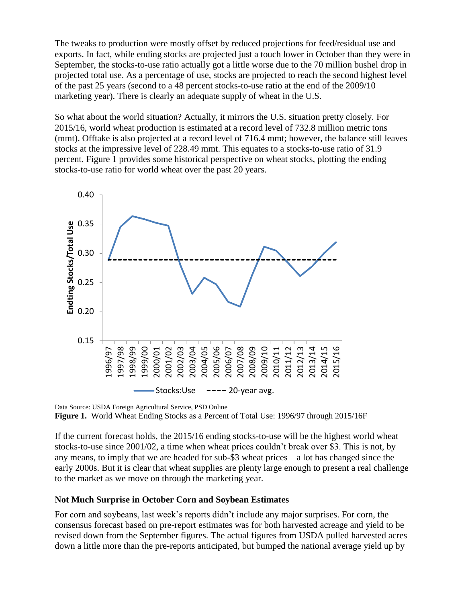The tweaks to production were mostly offset by reduced projections for feed/residual use and exports. In fact, while ending stocks are projected just a touch lower in October than they were in September, the stocks-to-use ratio actually got a little worse due to the 70 million bushel drop in projected total use. As a percentage of use, stocks are projected to reach the second highest level of the past 25 years (second to a 48 percent stocks-to-use ratio at the end of the 2009/10 marketing year). There is clearly an adequate supply of wheat in the U.S.

So what about the world situation? Actually, it mirrors the U.S. situation pretty closely. For 2015/16, world wheat production is estimated at a record level of 732.8 million metric tons (mmt). Offtake is also projected at a record level of 716.4 mmt; however, the balance still leaves stocks at the impressive level of 228.49 mmt. This equates to a stocks-to-use ratio of 31.9 percent. Figure 1 provides some historical perspective on wheat stocks, plotting the ending stocks-to-use ratio for world wheat over the past 20 years.



Data Source: USDA Foreign Agricultural Service, PSD Online **Figure 1.** World Wheat Ending Stocks as a Percent of Total Use: 1996/97 through 2015/16F

If the current forecast holds, the 2015/16 ending stocks-to-use will be the highest world wheat stocks-to-use since 2001/02, a time when wheat prices couldn't break over \$3. This is not, by any means, to imply that we are headed for sub-\$3 wheat prices – a lot has changed since the early 2000s. But it is clear that wheat supplies are plenty large enough to present a real challenge to the market as we move on through the marketing year.

## **Not Much Surprise in October Corn and Soybean Estimates**

For corn and soybeans, last week's reports didn't include any major surprises. For corn, the consensus forecast based on pre-report estimates was for both harvested acreage and yield to be revised down from the September figures. The actual figures from USDA pulled harvested acres down a little more than the pre-reports anticipated, but bumped the national average yield up by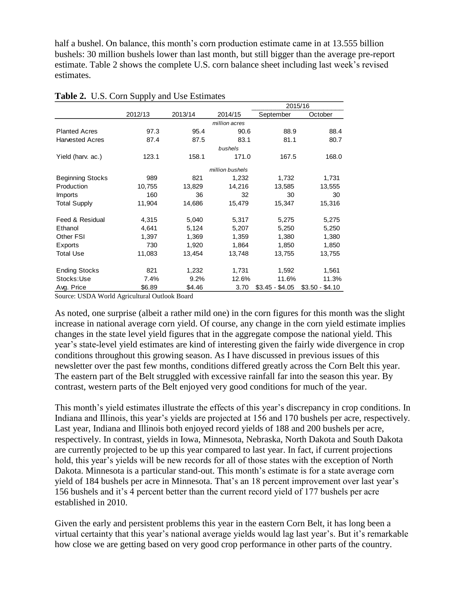half a bushel. On balance, this month's corn production estimate came in at 13.555 billion bushels: 30 million bushels lower than last month, but still bigger than the average pre-report estimate. Table 2 shows the complete U.S. corn balance sheet including last week's revised estimates.

|                         |         |         |                 | 2015/16         |                 |  |
|-------------------------|---------|---------|-----------------|-----------------|-----------------|--|
|                         | 2012/13 | 2013/14 | 2014/15         | September       | October         |  |
|                         |         |         | million acres   |                 |                 |  |
| <b>Planted Acres</b>    | 97.3    | 95.4    | 90.6            | 88.9            | 88.4            |  |
| <b>Harvested Acres</b>  | 87.4    | 87.5    | 83.1            | 81.1            | 80.7            |  |
|                         |         |         | bushels         |                 |                 |  |
| Yield (harv. ac.)       | 123.1   | 158.1   | 171.0           | 167.5           | 168.0           |  |
|                         |         |         | million bushels |                 |                 |  |
| <b>Beginning Stocks</b> | 989     | 821     | 1,232           | 1,732           | 1,731           |  |
| Production              | 10,755  | 13,829  | 14,216          | 13,585          | 13,555          |  |
| <b>Imports</b>          | 160     | 36      | 32              | 30              | 30              |  |
| <b>Total Supply</b>     | 11,904  | 14,686  | 15,479          | 15,347          | 15,316          |  |
| Feed & Residual         | 4,315   | 5,040   | 5,317           | 5,275           | 5,275           |  |
| Ethanol                 | 4,641   | 5,124   | 5,207           | 5,250           | 5,250           |  |
| Other FSI               | 1,397   | 1,369   | 1,359           | 1,380           | 1,380           |  |
| Exports                 | 730     | 1,920   | 1,864           | 1,850           | 1,850           |  |
| <b>Total Use</b>        | 11,083  | 13,454  | 13,748          | 13,755          | 13,755          |  |
| <b>Ending Stocks</b>    | 821     | 1,232   | 1,731           | 1,592           | 1,561           |  |
| Stocks:Use              | 7.4%    | 9.2%    | 12.6%           | 11.6%           | 11.3%           |  |
| Avg. Price              | \$6.89  | \$4.46  | 3.70            | $$3.45 - $4.05$ | $$3.50 - $4.10$ |  |

**Table 2.** U.S. Corn Supply and Use Estimates

Source: USDA World Agricultural Outlook Board

As noted, one surprise (albeit a rather mild one) in the corn figures for this month was the slight increase in national average corn yield. Of course, any change in the corn yield estimate implies changes in the state level yield figures that in the aggregate compose the national yield. This year's state-level yield estimates are kind of interesting given the fairly wide divergence in crop conditions throughout this growing season. As I have discussed in previous issues of this newsletter over the past few months, conditions differed greatly across the Corn Belt this year. The eastern part of the Belt struggled with excessive rainfall far into the season this year. By contrast, western parts of the Belt enjoyed very good conditions for much of the year.

This month's yield estimates illustrate the effects of this year's discrepancy in crop conditions. In Indiana and Illinois, this year's yields are projected at 156 and 170 bushels per acre, respectively. Last year, Indiana and Illinois both enjoyed record yields of 188 and 200 bushels per acre, respectively. In contrast, yields in Iowa, Minnesota, Nebraska, North Dakota and South Dakota are currently projected to be up this year compared to last year. In fact, if current projections hold, this year's yields will be new records for all of those states with the exception of North Dakota. Minnesota is a particular stand-out. This month's estimate is for a state average corn yield of 184 bushels per acre in Minnesota. That's an 18 percent improvement over last year's 156 bushels and it's 4 percent better than the current record yield of 177 bushels per acre established in 2010.

Given the early and persistent problems this year in the eastern Corn Belt, it has long been a virtual certainty that this year's national average yields would lag last year's. But it's remarkable how close we are getting based on very good crop performance in other parts of the country.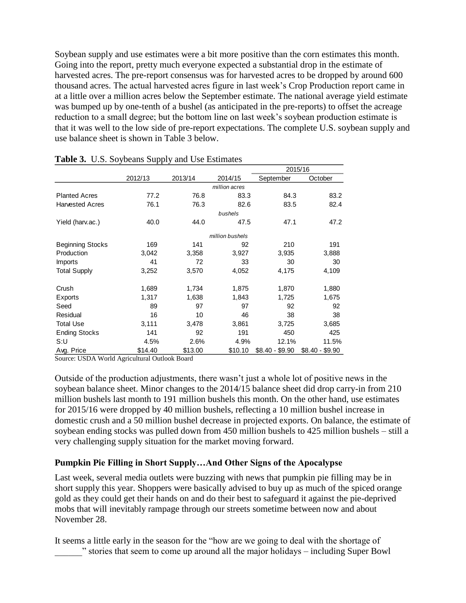Soybean supply and use estimates were a bit more positive than the corn estimates this month. Going into the report, pretty much everyone expected a substantial drop in the estimate of harvested acres. The pre-report consensus was for harvested acres to be dropped by around 600 thousand acres. The actual harvested acres figure in last week's Crop Production report came in at a little over a million acres below the September estimate. The national average yield estimate was bumped up by one-tenth of a bushel (as anticipated in the pre-reports) to offset the acreage reduction to a small degree; but the bottom line on last week's soybean production estimate is that it was well to the low side of pre-report expectations. The complete U.S. soybean supply and use balance sheet is shown in Table 3 below.

|                                                                                                                                                                                                                                                                                                                                                                                                                                                                                                                                                                                                                                                              |                                                                                     |         |                 | 2015/16         |                 |  |
|--------------------------------------------------------------------------------------------------------------------------------------------------------------------------------------------------------------------------------------------------------------------------------------------------------------------------------------------------------------------------------------------------------------------------------------------------------------------------------------------------------------------------------------------------------------------------------------------------------------------------------------------------------------|-------------------------------------------------------------------------------------|---------|-----------------|-----------------|-----------------|--|
|                                                                                                                                                                                                                                                                                                                                                                                                                                                                                                                                                                                                                                                              | 2012/13                                                                             | 2013/14 | 2014/15         | September       | October         |  |
|                                                                                                                                                                                                                                                                                                                                                                                                                                                                                                                                                                                                                                                              |                                                                                     |         | million acres   |                 |                 |  |
| <b>Planted Acres</b>                                                                                                                                                                                                                                                                                                                                                                                                                                                                                                                                                                                                                                         | 77.2                                                                                | 76.8    | 83.3            | 84.3            | 83.2            |  |
| <b>Harvested Acres</b>                                                                                                                                                                                                                                                                                                                                                                                                                                                                                                                                                                                                                                       | 76.1                                                                                | 76.3    | 82.6            | 83.5            | 82.4            |  |
|                                                                                                                                                                                                                                                                                                                                                                                                                                                                                                                                                                                                                                                              |                                                                                     |         | bushels         |                 |                 |  |
| Yield (harv.ac.)                                                                                                                                                                                                                                                                                                                                                                                                                                                                                                                                                                                                                                             | 40.0                                                                                | 44.0    | 47.5            | 47.1            | 47.2            |  |
|                                                                                                                                                                                                                                                                                                                                                                                                                                                                                                                                                                                                                                                              |                                                                                     |         | million bushels |                 |                 |  |
| Beginning Stocks                                                                                                                                                                                                                                                                                                                                                                                                                                                                                                                                                                                                                                             | 169                                                                                 | 141     | 92              | 210             | 191             |  |
| Production                                                                                                                                                                                                                                                                                                                                                                                                                                                                                                                                                                                                                                                   | 3,042                                                                               | 3,358   | 3,927           | 3,935           | 3,888           |  |
| Imports                                                                                                                                                                                                                                                                                                                                                                                                                                                                                                                                                                                                                                                      | 41                                                                                  | 72      | 33              | 30              | 30              |  |
| <b>Total Supply</b>                                                                                                                                                                                                                                                                                                                                                                                                                                                                                                                                                                                                                                          | 3,252                                                                               | 3,570   | 4,052           | 4,175           | 4,109           |  |
|                                                                                                                                                                                                                                                                                                                                                                                                                                                                                                                                                                                                                                                              |                                                                                     |         |                 |                 |                 |  |
| Crush                                                                                                                                                                                                                                                                                                                                                                                                                                                                                                                                                                                                                                                        | 1,689                                                                               | 1,734   | 1,875           | 1,870           | 1,880           |  |
| Exports                                                                                                                                                                                                                                                                                                                                                                                                                                                                                                                                                                                                                                                      | 1,317                                                                               | 1,638   | 1,843           | 1,725           | 1,675           |  |
| Seed                                                                                                                                                                                                                                                                                                                                                                                                                                                                                                                                                                                                                                                         | 89                                                                                  | 97      | 97              | 92              | 92              |  |
| Residual                                                                                                                                                                                                                                                                                                                                                                                                                                                                                                                                                                                                                                                     | 16                                                                                  | 10      | 46              | 38              | 38              |  |
| <b>Total Use</b>                                                                                                                                                                                                                                                                                                                                                                                                                                                                                                                                                                                                                                             | 3,111                                                                               | 3,478   | 3,861           | 3,725           | 3,685           |  |
| <b>Ending Stocks</b>                                                                                                                                                                                                                                                                                                                                                                                                                                                                                                                                                                                                                                         | 141                                                                                 | 92      | 191             | 450             | 425             |  |
| S:U                                                                                                                                                                                                                                                                                                                                                                                                                                                                                                                                                                                                                                                          | 4.5%                                                                                | 2.6%    | 4.9%            | 12.1%           | 11.5%           |  |
| Avg. Price                                                                                                                                                                                                                                                                                                                                                                                                                                                                                                                                                                                                                                                   | \$14.40                                                                             | \$13.00 | \$10.10         | $$8.40 - $9.90$ | \$8.40 - \$9.90 |  |
| Source: USDA World Agricultural Outlook Board                                                                                                                                                                                                                                                                                                                                                                                                                                                                                                                                                                                                                |                                                                                     |         |                 |                 |                 |  |
| Outside of the production adjustments, there wasn't just a whole lot of positive news in the<br>soybean balance sheet. Minor changes to the 2014/15 balance sheet did drop carry-in from 2<br>million bushels last month to 191 million bushels this month. On the other hand, use estimate<br>for 2015/16 were dropped by 40 million bushels, reflecting a 10 million bushel increase in<br>domestic crush and a 50 million bushel decrease in projected exports. On balance, the estima<br>soybean ending stocks was pulled down from 450 million bushels to 425 million bushels $-$ s<br>very challenging supply situation for the market moving forward. |                                                                                     |         |                 |                 |                 |  |
| <b>Pumpkin Pie Filling in Short SupplyAnd Other Signs of the Apocalypse</b>                                                                                                                                                                                                                                                                                                                                                                                                                                                                                                                                                                                  |                                                                                     |         |                 |                 |                 |  |
| Last week, several media outlets were buzzing with news that pumpkin pie filling may be in<br>short supply this year. Shoppers were basically advised to buy up as much of the spiced oran<br>gold as they could get their hands on and do their best to safeguard it against the pie-deprive<br>mobs that will inevitably rampage through our streets sometime between now and about<br>November 28.                                                                                                                                                                                                                                                        |                                                                                     |         |                 |                 |                 |  |
| It seems a little early in the season for the "how are we going to deal with the shortage of                                                                                                                                                                                                                                                                                                                                                                                                                                                                                                                                                                 | " stories that seem to come up around all the major holidays – including Super Bowl |         |                 |                 |                 |  |

|  |  |  |  |  |  | Table 3. U.S. Soybeans Supply and Use Estimates |
|--|--|--|--|--|--|-------------------------------------------------|
|--|--|--|--|--|--|-------------------------------------------------|

Outside of the production adjustments, there wasn't just a whole lot of positive news in the soybean balance sheet. Minor changes to the 2014/15 balance sheet did drop carry-in from 210 million bushels last month to 191 million bushels this month. On the other hand, use estimates for 2015/16 were dropped by 40 million bushels, reflecting a 10 million bushel increase in domestic crush and a 50 million bushel decrease in projected exports. On balance, the estimate of soybean ending stocks was pulled down from 450 million bushels to 425 million bushels – still a very challenging supply situation for the market moving forward.

### **Pumpkin Pie Filling in Short Supply…And Other Signs of the Apocalypse**